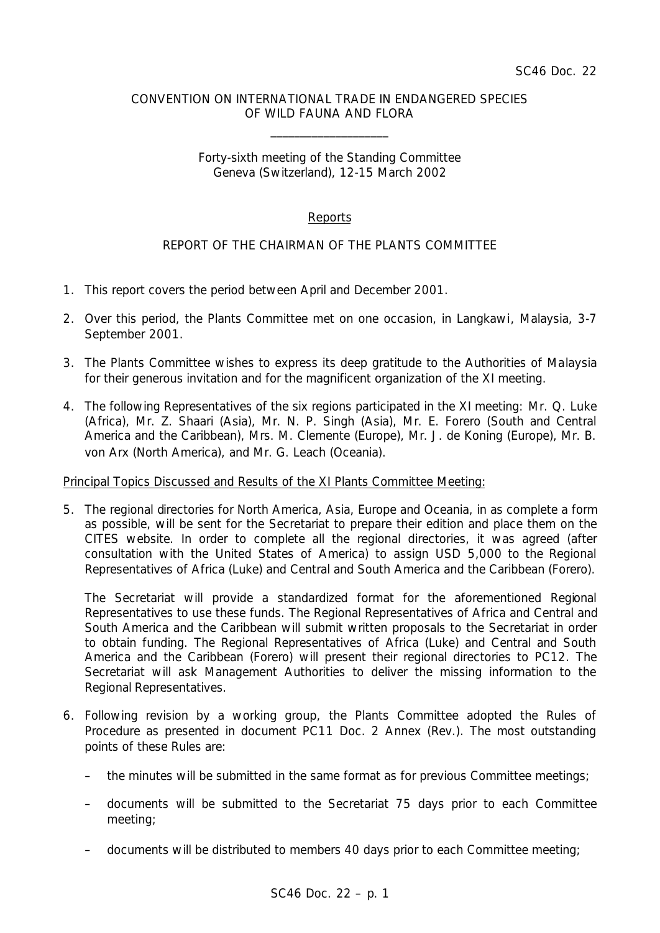# CONVENTION ON INTERNATIONAL TRADE IN ENDANGERED SPECIES OF WILD FAUNA AND FLORA

\_\_\_\_\_\_\_\_\_\_\_\_\_\_\_\_\_\_\_\_

# Forty-sixth meeting of the Standing Committee Geneva (Switzerland), 12-15 March 2002

# Reports

# REPORT OF THE CHAIRMAN OF THE PLANTS COMMITTEE

- 1. This report covers the period between April and December 2001.
- 2. Over this period, the Plants Committee met on one occasion, in Langkawi, Malaysia, 3-7 September 2001.
- 3. The Plants Committee wishes to express its deep gratitude to the Authorities of Malaysia for their generous invitation and for the magnificent organization of the XI meeting.
- 4. The following Representatives of the six regions participated in the XI meeting: Mr. Q. Luke (Africa), Mr. Z. Shaari (Asia), Mr. N. P. Singh (Asia), Mr. E. Forero (South and Central America and the Caribbean), Mrs. M. Clemente (Europe), Mr. J. de Koning (Europe), Mr. B. von Arx (North America), and Mr. G. Leach (Oceania).

# Principal Topics Discussed and Results of the XI Plants Committee Meeting:

5. The regional directories for North America, Asia, Europe and Oceania, in as complete a form as possible, will be sent for the Secretariat to prepare their edition and place them on the CITES website. In order to complete all the regional directories, it was agreed (after consultation with the United States of America) to assign USD 5,000 to the Regional Representatives of Africa (Luke) and Central and South America and the Caribbean (Forero).

The Secretariat will provide a standardized format for the aforementioned Regional Representatives to use these funds. The Regional Representatives of Africa and Central and South America and the Caribbean will submit written proposals to the Secretariat in order to obtain funding. The Regional Representatives of Africa (Luke) and Central and South America and the Caribbean (Forero) will present their regional directories to PC12. The Secretariat will ask Management Authorities to deliver the missing information to the Regional Representatives.

- 6. Following revision by a working group, the Plants Committee adopted the Rules of Procedure as presented in document PC11 Doc. 2 Annex (Rev.). The most outstanding points of these Rules are:
	- the minutes will be submitted in the same format as for previous Committee meetings;
	- documents will be submitted to the Secretariat 75 days prior to each Committee meeting;
	- documents will be distributed to members 40 days prior to each Committee meeting;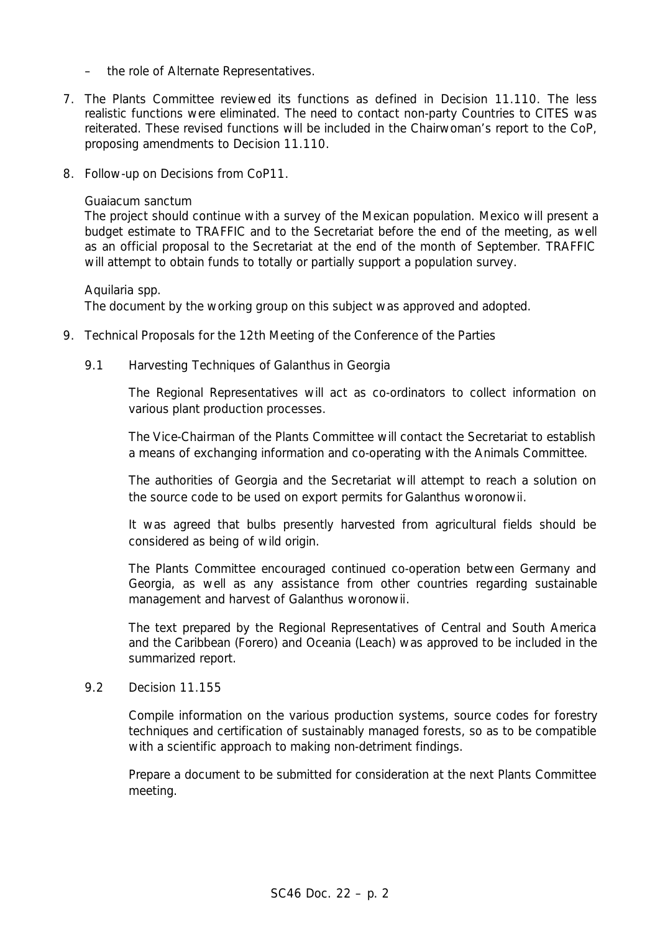- the role of Alternate Representatives.
- 7. The Plants Committee reviewed its functions as defined in Decision 11.110. The less realistic functions were eliminated. The need to contact non-party Countries to CITES was reiterated. These revised functions will be included in the Chairwoman's report to the CoP, proposing amendments to Decision 11.110.
- 8. Follow-up on Decisions from CoP11.

#### *Guaiacum sanctum*

The project should continue with a survey of the Mexican population. Mexico will present a budget estimate to TRAFFIC and to the Secretariat before the end of the meeting, as well as an official proposal to the Secretariat at the end of the month of September. TRAFFIC will attempt to obtain funds to totally or partially support a population survey.

#### *Aquilaria* spp.

The document by the working group on this subject was approved and adopted.

- 9. Technical Proposals for the 12th Meeting of the Conference of the Parties
	- 9.1 Harvesting Techniques of *Galanthus* in Georgia

The Regional Representatives will act as co-ordinators to collect information on various plant production processes.

The Vice-Chairman of the Plants Committee will contact the Secretariat to establish a means of exchanging information and co-operating with the Animals Committee.

The authorities of Georgia and the Secretariat will attempt to reach a solution on the source code to be used on export permits for *Galanthus woronowii*.

It was agreed that bulbs presently harvested from agricultural fields should be considered as being of wild origin.

The Plants Committee encouraged continued co-operation between Germany and Georgia, as well as any assistance from other countries regarding sustainable management and harvest of *Galanthus woronowii*.

The text prepared by the Regional Representatives of Central and South America and the Caribbean (Forero) and Oceania (Leach) was approved to be included in the summarized report.

9.2 Decision 11.155

Compile information on the various production systems, source codes for forestry techniques and certification of sustainably managed forests, so as to be compatible with a scientific approach to making non-detriment findings.

Prepare a document to be submitted for consideration at the next Plants Committee meeting.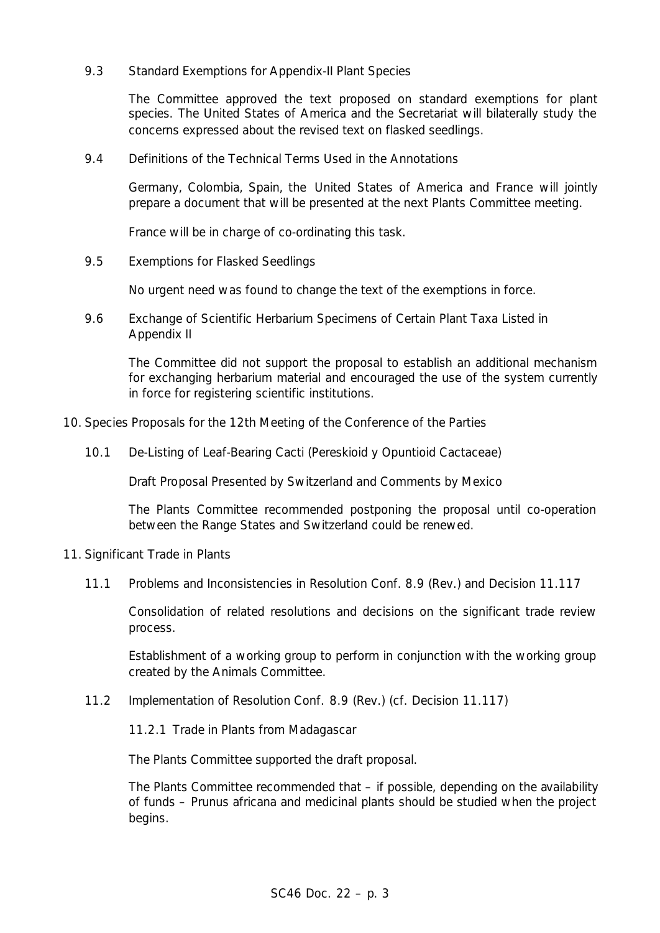9.3 Standard Exemptions for Appendix-II Plant Species

The Committee approved the text proposed on standard exemptions for plant species. The United States of America and the Secretariat will bilaterally study the concerns expressed about the revised text on flasked seedlings.

9.4 Definitions of the Technical Terms Used in the Annotations

Germany, Colombia, Spain, the United States of America and France will jointly prepare a document that will be presented at the next Plants Committee meeting.

France will be in charge of co-ordinating this task.

9.5 Exemptions for Flasked Seedlings

No urgent need was found to change the text of the exemptions in force.

9.6 Exchange of Scientific Herbarium Specimens of Certain Plant Taxa Listed in Appendix II

The Committee did not support the proposal to establish an additional mechanism for exchanging herbarium material and encouraged the use of the system currently in force for registering scientific institutions.

- 10. Species Proposals for the 12th Meeting of the Conference of the Parties
	- 10.1 De-Listing of Leaf-Bearing Cacti (Pereskioid y Opuntioid Cactaceae)

Draft Proposal Presented by Switzerland and Comments by Mexico

The Plants Committee recommended postponing the proposal until co-operation between the Range States and Switzerland could be renewed.

- 11. Significant Trade in Plants
	- 11.1 Problems and Inconsistencies in Resolution Conf. 8.9 (Rev.) and Decision 11.117

Consolidation of related resolutions and decisions on the significant trade review process.

Establishment of a working group to perform in conjunction with the working group created by the Animals Committee.

11.2 Implementation of Resolution Conf. 8.9 (Rev.) (cf. Decision 11.117)

11.2.1 Trade in Plants from Madagascar

The Plants Committee supported the draft proposal.

The Plants Committee recommended that – if possible, depending on the availability of funds – *Prunus africana* and medicinal plants should be studied when the project begins.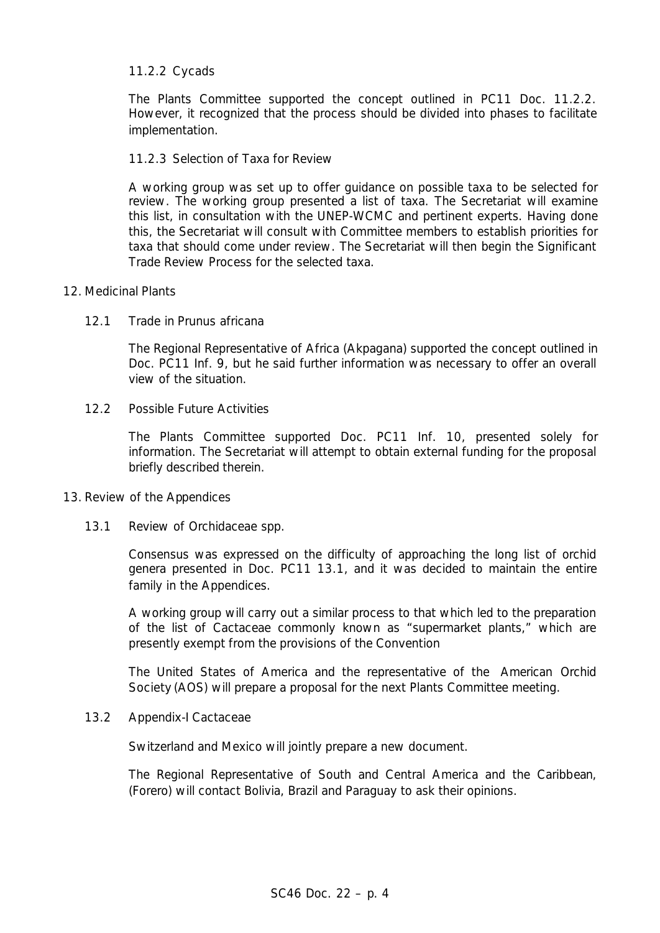# 11.2.2 Cycads

The Plants Committee supported the concept outlined in PC11 Doc. 11.2.2. However, it recognized that the process should be divided into phases to facilitate implementation.

# 11.2.3 Selection of Taxa for Review

A working group was set up to offer guidance on possible taxa to be selected for review. The working group presented a list of taxa. The Secretariat will examine this list, in consultation with the UNEP-WCMC and pertinent experts. Having done this, the Secretariat will consult with Committee members to establish priorities for taxa that should come under review. The Secretariat will then begin the Significant Trade Review Process for the selected taxa.

# 12. Medicinal Plants

# 12.1 Trade in *Prunus africana*

The Regional Representative of Africa (Akpagana) supported the concept outlined in Doc. PC11 Inf. 9, but he said further information was necessary to offer an overall view of the situation.

# 12.2 Possible Future Activities

The Plants Committee supported Doc. PC11 Inf. 10, presented solely for information. The Secretariat will attempt to obtain external funding for the proposal briefly described therein.

# 13. Review of the Appendices

# 13.1 Review of Orchidaceae spp.

Consensus was expressed on the difficulty of approaching the long list of orchid genera presented in Doc. PC11 13.1, and it was decided to maintain the entire family in the Appendices.

A working group will carry out a similar process to that which led to the preparation of the list of Cactaceae commonly known as "supermarket plants," which are presently exempt from the provisions of the Convention

The United States of America and the representative of the *American Orchid Society* (AOS) will prepare a proposal for the next Plants Committee meeting.

# 13.2 Appendix-I Cactaceae

Switzerland and Mexico will jointly prepare a new document.

The Regional Representative of South and Central America and the Caribbean, (Forero) will contact Bolivia, Brazil and Paraguay to ask their opinions.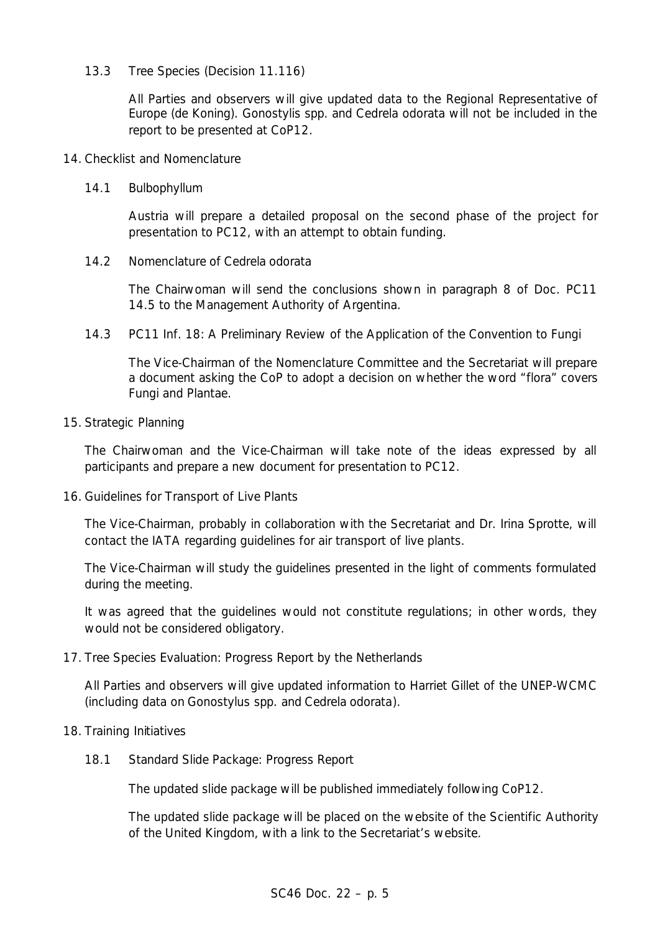# 13.3 Tree Species (Decision 11.116)

All Parties and observers will give updated data to the Regional Representative of Europe (de Koning). *Gonostylis* spp. and *Cedrela odorata* will not be included in the report to be presented at CoP12.

# 14. Checklist and Nomenclature

# 14.1 *Bulbophyllum*

Austria will prepare a detailed proposal on the second phase of the project for presentation to PC12, with an attempt to obtain funding.

# 14.2 Nomenclature of *Cedrela odorata*

The Chairwoman will send the conclusions shown in paragraph 8 of Doc. PC11 14.5 to the Management Authority of Argentina.

14.3 PC11 Inf. 18: A Preliminary Review of the Application of the Convention to Fungi

The Vice-Chairman of the Nomenclature Committee and the Secretariat will prepare a document asking the CoP to adopt a decision on whether the word "flora" covers Fungi and Plantae.

# 15. Strategic Planning

The Chairwoman and the Vice-Chairman will take note of the ideas expressed by all participants and prepare a new document for presentation to PC12.

16. Guidelines for Transport of Live Plants

The Vice-Chairman, probably in collaboration with the Secretariat and Dr. Irina Sprotte, will contact the IATA regarding guidelines for air transport of live plants.

The Vice-Chairman will study the guidelines presented in the light of comments formulated during the meeting.

It was agreed that the guidelines would not constitute regulations; in other words, they would not be considered obligatory.

# 17. Tree Species Evaluation: Progress Report by the Netherlands

All Parties and observers will give updated information to Harriet Gillet of the UNEP-WCMC (including data on *Gonostylus* spp. and *Cedrela odorata*).

# 18. Training Initiatives

18.1 Standard Slide Package: Progress Report

The updated slide package will be published immediately following CoP12.

The updated slide package will be placed on the website of the Scientific Authority of the United Kingdom, with a link to the Secretariat's website.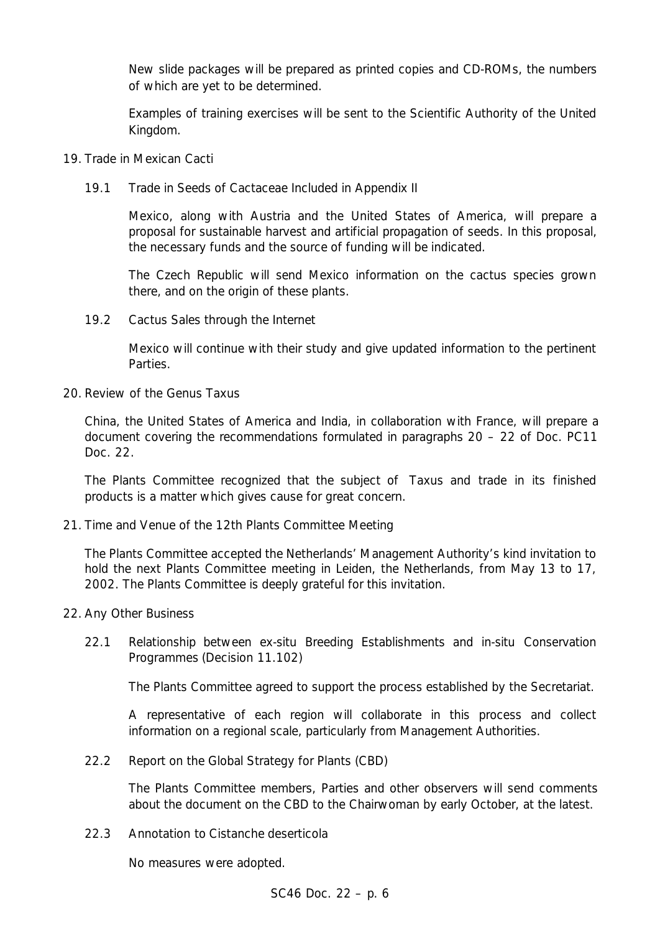New slide packages will be prepared as printed copies and CD-ROMs, the numbers of which are yet to be determined.

Examples of training exercises will be sent to the Scientific Authority of the United Kingdom.

# 19. Trade in Mexican Cacti

19.1 Trade in Seeds of Cactaceae Included in Appendix II

Mexico, along with Austria and the United States of America, will prepare a proposal for sustainable harvest and artificial propagation of seeds. In this proposal, the necessary funds and the source of funding will be indicated.

The Czech Republic will send Mexico information on the cactus species grown there, and on the origin of these plants.

19.2 Cactus Sales through the Internet

Mexico will continue with their study and give updated information to the pertinent Parties.

20. Review of the Genus *Taxus*

China, the United States of America and India, in collaboration with France, will prepare a document covering the recommendations formulated in paragraphs 20 – 22 of Doc. PC11 Doc. 22.

The Plants Committee recognized that the subject of *Taxus* and trade in its finished products is a matter which gives cause for great concern.

21. Time and Venue of the 12th Plants Committee Meeting

The Plants Committee accepted the Netherlands' Management Authority's kind invitation to hold the next Plants Committee meeting in Leiden, the Netherlands, from May 13 to 17, 2002. The Plants Committee is deeply grateful for this invitation.

- 22. Any Other Business
	- 22.1 Relationship between *ex-situ* Breeding Establishments and *in-situ* Conservation Programmes (Decision 11.102)

The Plants Committee agreed to support the process established by the Secretariat.

A representative of each region will collaborate in this process and collect information on a regional scale, particularly from Management Authorities.

22.2 Report on the Global Strategy for Plants (CBD)

The Plants Committee members, Parties and other observers will send comments about the document on the CBD to the Chairwoman by early October, at the latest.

22.3 Annotation to *Cistanche deserticola*

No measures were adopted.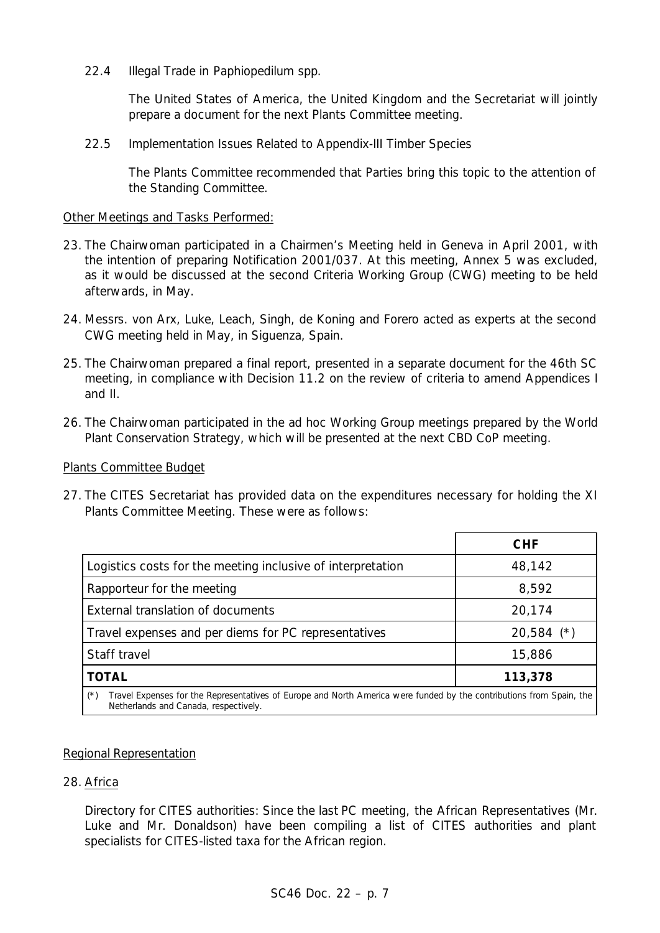22.4 Illegal Trade in *Paphiopedilum* spp.

The United States of America, the United Kingdom and the Secretariat will jointly prepare a document for the next Plants Committee meeting.

22.5 Implementation Issues Related to Appendix-III Timber Species

The Plants Committee recommended that Parties bring this topic to the attention of the Standing Committee.

# Other Meetings and Tasks Performed:

- 23. The Chairwoman participated in a Chairmen's Meeting held in Geneva in April 2001, with the intention of preparing Notification 2001/037. At this meeting, Annex 5 was excluded, as it would be discussed at the second Criteria Working Group (CWG) meeting to be held afterwards, in May.
- 24. Messrs. von Arx, Luke, Leach, Singh, de Koning and Forero acted as experts at the second CWG meeting held in May, in Siguenza, Spain.
- 25. The Chairwoman prepared a final report, presented in a separate document for the 46th SC meeting, in compliance with Decision 11.2 on the review of criteria to amend Appendices I and II.
- 26. The Chairwoman participated in the ad hoc Working Group meetings prepared by the World Plant Conservation Strategy, which will be presented at the next CBD CoP meeting.

#### Plants Committee Budget

27. The CITES Secretariat has provided data on the expenditures necessary for holding the XI Plants Committee Meeting. These were as follows:

|                                                                                                                               | <b>CHF</b>   |
|-------------------------------------------------------------------------------------------------------------------------------|--------------|
| Logistics costs for the meeting inclusive of interpretation                                                                   | 48,142       |
| Rapporteur for the meeting                                                                                                    | 8,592        |
| External translation of documents                                                                                             | 20,174       |
| Travel expenses and per diems for PC representatives                                                                          | $20,584$ (*) |
| Staff travel                                                                                                                  | 15,886       |
| <b>TOTAL</b>                                                                                                                  | 113,378      |
| Travel Expenses for the Representatives of Europe and North America were funded by the contributions from Spain, the<br>$(*)$ |              |

*Netherlands and Canada, respectively.*

# Regional Representation

# 28. Africa

Directory for CITES authorities: Since the last PC meeting, the African Representatives (Mr. Luke and Mr. Donaldson) have been compiling a list of CITES authorities and plant specialists for CITES-listed taxa for the African region.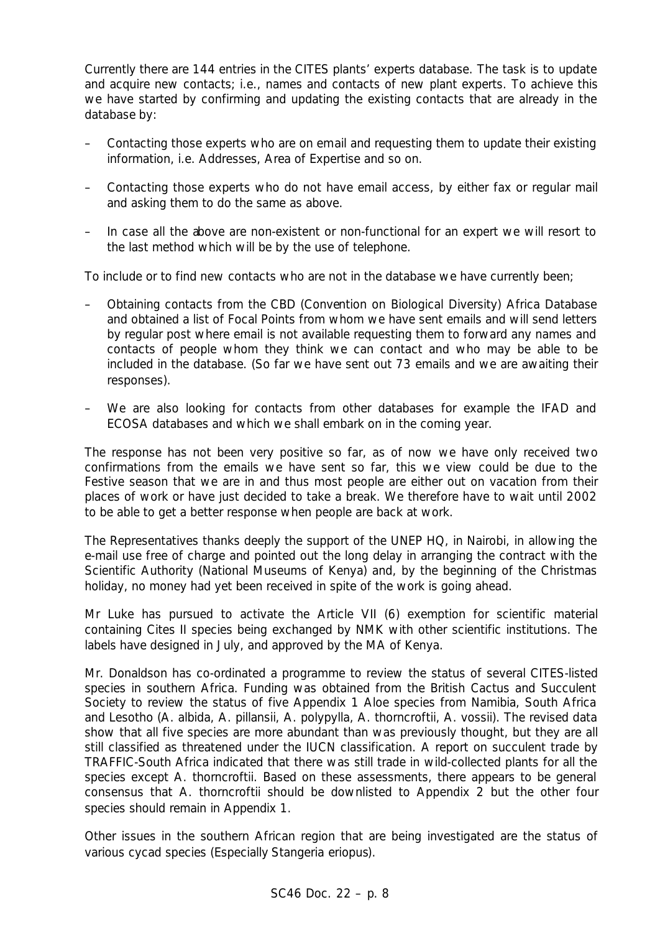Currently there are 144 entries in the CITES plants' experts database. The task is to update and acquire new contacts; i.e., names and contacts of new plant experts. To achieve this we have started by confirming and updating the existing contacts that are already in the database by:

- Contacting those experts who are on email and requesting them to update their existing information, i.e. Addresses, Area of Expertise and so on.
- Contacting those experts who do not have email access, by either fax or regular mail and asking them to do the same as above.
- In case all the above are non-existent or non-functional for an expert we will resort to the last method which will be by the use of telephone.

To include or to find new contacts who are not in the database we have currently been;

- Obtaining contacts from the CBD (Convention on Biological Diversity) Africa Database and obtained a list of Focal Points from whom we have sent emails and will send letters by regular post where email is not available requesting them to forward any names and contacts of people whom they think we can contact and who may be able to be included in the database. (So far we have sent out 73 emails and we are awaiting their responses).
- We are also looking for contacts from other databases for example the IFAD and ECOSA databases and which we shall embark on in the coming year.

The response has not been very positive so far, as of now we have only received two confirmations from the emails we have sent so far, this we view could be due to the Festive season that we are in and thus most people are either out on vacation from their places of work or have just decided to take a break. We therefore have to wait until 2002 to be able to get a better response when people are back at work.

The Representatives thanks deeply the support of the UNEP HQ, in Nairobi, in allowing the e-mail use free of charge and pointed out the long delay in arranging the contract with the Scientific Authority (National Museums of Kenya) and, by the beginning of the Christmas holiday, no money had yet been received in spite of the work is going ahead.

Mr Luke has pursued to activate the Article VII (6) exemption for scientific material containing Cites II species being exchanged by NMK with other scientific institutions. The labels have designed in July, and approved by the MA of Kenya.

Mr. Donaldson has co-ordinated a programme to review the status of several CITES-listed species in southern Africa. Funding was obtained from the British Cactus and Succulent Society to review the status of five Appendix 1 Aloe species from Namibia, South Africa and Lesotho (A. albida, A. pillansii, A. polypylla, A. thorncroftii, A. vossii). The revised data show that all five species are more abundant than was previously thought, but they are all still classified as threatened under the IUCN classification. A report on succulent trade by TRAFFIC-South Africa indicated that there was still trade in wild-collected plants for all the species except A. thorncroftii. Based on these assessments, there appears to be general consensus that A. thorncroftii should be downlisted to Appendix 2 but the other four species should remain in Appendix 1.

Other issues in the southern African region that are being investigated are the status of various cycad species (Especially *Stangeria eriopus*).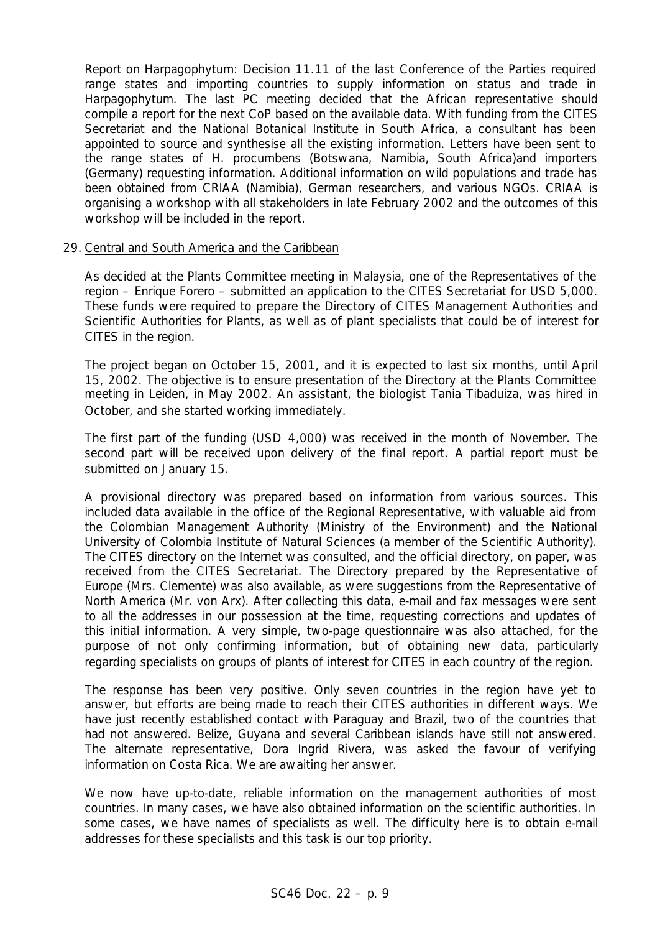Report on Harpagophytum: Decision 11.11 of the last Conference of the Parties required range states and importing countries to supply information on status and trade in Harpagophytum. The last PC meeting decided that the African representative should compile a report for the next CoP based on the available data. With funding from the CITES Secretariat and the National Botanical Institute in South Africa, a consultant has been appointed to source and synthesise all the existing information. Letters have been sent to the range states of H. procumbens (Botswana, Namibia, South Africa)and importers (Germany) requesting information. Additional information on wild populations and trade has been obtained from CRIAA (Namibia), German researchers, and various NGOs. CRIAA is organising a workshop with all stakeholders in late February 2002 and the outcomes of this workshop will be included in the report.

#### 29. Central and South America and the Caribbean

As decided at the Plants Committee meeting in Malaysia, one of the Representatives of the region – Enrique Forero – submitted an application to the CITES Secretariat for USD 5,000. These funds were required to prepare the Directory of CITES Management Authorities and Scientific Authorities for Plants, as well as of plant specialists that could be of interest for CITES in the region.

The project began on October 15, 2001, and it is expected to last six months, until April 15, 2002. The objective is to ensure presentation of the Directory at the Plants Committee meeting in Leiden, in May 2002. An assistant, the biologist Tania Tibaduiza, was hired in October, and she started working immediately.

The first part of the funding (USD 4,000) was received in the month of November. The second part will be received upon delivery of the final report. A partial report must be submitted on January 15.

A provisional directory was prepared based on information from various sources. This included data available in the office of the Regional Representative, with valuable aid from the Colombian Management Authority (Ministry of the Environment) and the National University of Colombia Institute of Natural Sciences (a member of the Scientific Authority). The CITES directory on the Internet was consulted, and the official directory, on paper, was received from the CITES Secretariat. The Directory prepared by the Representative of Europe (Mrs. Clemente) was also available, as were suggestions from the Representative of North America (Mr. von Arx). After collecting this data, e-mail and fax messages were sent to all the addresses in our possession at the time, requesting corrections and updates of this initial information. A very simple, two-page questionnaire was also attached, for the purpose of not only confirming information, but of obtaining new data, particularly regarding specialists on groups of plants of interest for CITES in each country of the region.

The response has been very positive. Only seven countries in the region have yet to answer, but efforts are being made to reach their CITES authorities in different ways. We have just recently established contact with Paraguay and Brazil, two of the countries that had not answered. Belize, Guyana and several Caribbean islands have still not answered. The alternate representative, Dora Ingrid Rivera, was asked the favour of verifying information on Costa Rica. We are awaiting her answer.

We now have up-to-date, reliable information on the management authorities of most countries. In many cases, we have also obtained information on the scientific authorities. In some cases, we have names of specialists as well. The difficulty here is to obtain e-mail addresses for these specialists and this task is our top priority.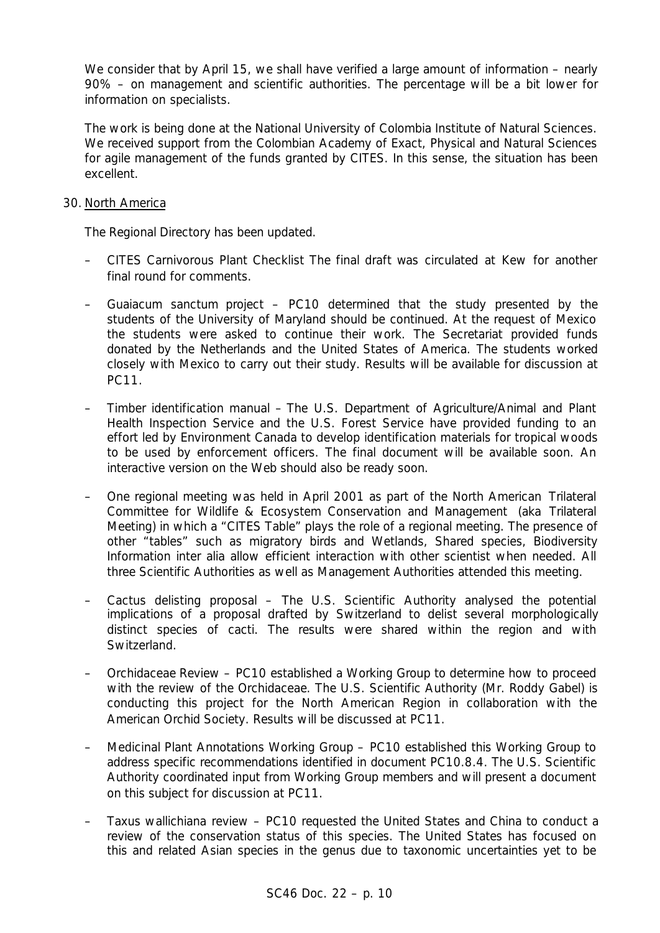We consider that by April 15, we shall have verified a large amount of information – nearly 90% – on management and scientific authorities. The percentage will be a bit lower for information on specialists.

The work is being done at the National University of Colombia Institute of Natural Sciences. We received support from the Colombian Academy of Exact, Physical and Natural Sciences for agile management of the funds granted by CITES. In this sense, the situation has been excellent.

# 30. North America

The Regional Directory has been updated.

- CITES Carnivorous Plant Checklist The final draft was circulated at Kew for another final round for comments.
- *Guaiacum sanctum* project PC10 determined that the study presented by the students of the University of Maryland should be continued. At the request of Mexico the students were asked to continue their work. The Secretariat provided funds donated by the Netherlands and the United States of America. The students worked closely with Mexico to carry out their study. Results will be available for discussion at PC11.
- Timber identification manual The U.S. Department of Agriculture/Animal and Plant Health Inspection Service and the U.S. Forest Service have provided funding to an effort led by Environment Canada to develop identification materials for tropical woods to be used by enforcement officers. The final document will be available soon. An interactive version on the Web should also be ready soon.
- One regional meeting was held in April 2001 as part of the North American *Trilateral Committee for Wildlife & Ecosystem Conservation and Management* (aka Trilateral Meeting) in which a "CITES Table" plays the role of a regional meeting. The presence of other "tables" such as migratory birds and Wetlands, Shared species, Biodiversity Information inter alia allow efficient interaction with other scientist when needed. All three Scientific Authorities as well as Management Authorities attended this meeting.
- Cactus delisting proposal The U.S. Scientific Authority analysed the potential implications of a proposal drafted by Switzerland to delist several morphologically distinct species of cacti. The results were shared within the region and with Switzerland.
- Orchidaceae Review PC10 established a Working Group to determine how to proceed with the review of the Orchidaceae. The U.S. Scientific Authority (Mr. Roddy Gabel) is conducting this project for the North American Region in collaboration with the American Orchid Society. Results will be discussed at PC11.
- Medicinal Plant Annotations Working Group PC10 established this Working Group to address specific recommendations identified in document PC10.8.4. The U.S. Scientific Authority coordinated input from Working Group members and will present a document on this subject for discussion at PC11.
- *Taxus wallichiana* review PC10 requested the United States and China to conduct a review of the conservation status of this species. The United States has focused on this and related Asian species in the genus due to taxonomic uncertainties yet to be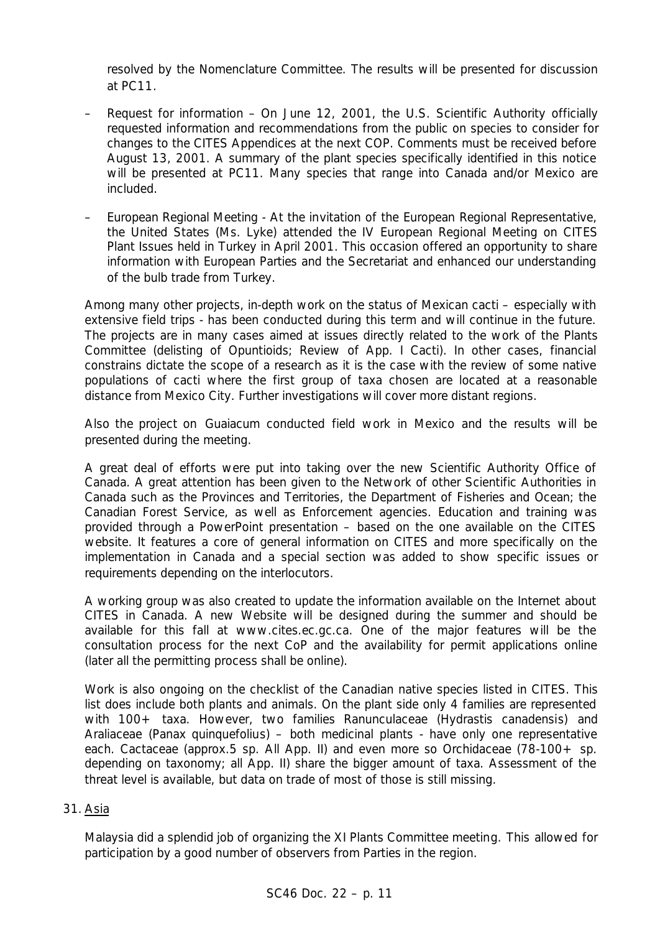resolved by the Nomenclature Committee. The results will be presented for discussion at PC11.

- Request for information On June 12, 2001, the U.S. Scientific Authority officially requested information and recommendations from the public on species to consider for changes to the CITES Appendices at the next COP. Comments must be received before August 13, 2001. A summary of the plant species specifically identified in this notice will be presented at PC11. Many species that range into Canada and/or Mexico are included.
- European Regional Meeting At the invitation of the European Regional Representative, the United States (Ms. Lyke) attended the IV European Regional Meeting on CITES Plant Issues held in Turkey in April 2001. This occasion offered an opportunity to share information with European Parties and the Secretariat and enhanced our understanding of the bulb trade from Turkey.

Among many other projects, in-depth work on the status of Mexican cacti – especially with extensive field trips - has been conducted during this term and will continue in the future. The projects are in many cases aimed at issues directly related to the work of the Plants Committee (delisting of Opuntioids; Review of App. I Cacti). In other cases, financial constrains dictate the scope of a research as it is the case with the review of some native populations of cacti where the first group of taxa chosen are located at a reasonable distance from Mexico City. Further investigations will cover more distant regions.

Also the project on *Guaiacum* conducted field work in Mexico and the results will be presented during the meeting.

A great deal of efforts were put into taking over the new Scientific Authority Office of Canada. A great attention has been given to the Network of other Scientific Authorities in Canada such as the Provinces and Territories, the Department of Fisheries and Ocean; the Canadian Forest Service, as well as Enforcement agencies. Education and training was provided through a PowerPoint presentation – based on the one available on the CITES website. It features a core of general information on CITES and more specifically on the implementation in Canada and a special section was added to show specific issues or requirements depending on the interlocutors.

A working group was also created to update the information available on the Internet about CITES in Canada. A new Website will be designed during the summer and should be available for this fall at www.cites.ec.gc.ca. One of the major features will be the consultation process for the next CoP and the availability for permit applications online (later all the permitting process shall be online).

Work is also ongoing on the checklist of the Canadian native species listed in CITES. This list does include both plants and animals. On the plant side only 4 families are represented with 100+ taxa. However, two families Ranunculaceae *(Hydrastis canadensi*s) and Araliaceae *(Panax quinquefoliu*s) – both medicinal plants - have only one representative each. Cactaceae (approx.5 sp. All App. II) and even more so Orchidaceae (78-100+ sp. depending on taxonomy; all App. II) share the bigger amount of taxa. Assessment of the threat level is available, but data on trade of most of those is still missing.

# 31. Asia

Malaysia did a splendid job of organizing the XI Plants Committee meeting. This allowed for participation by a good number of observers from Parties in the region.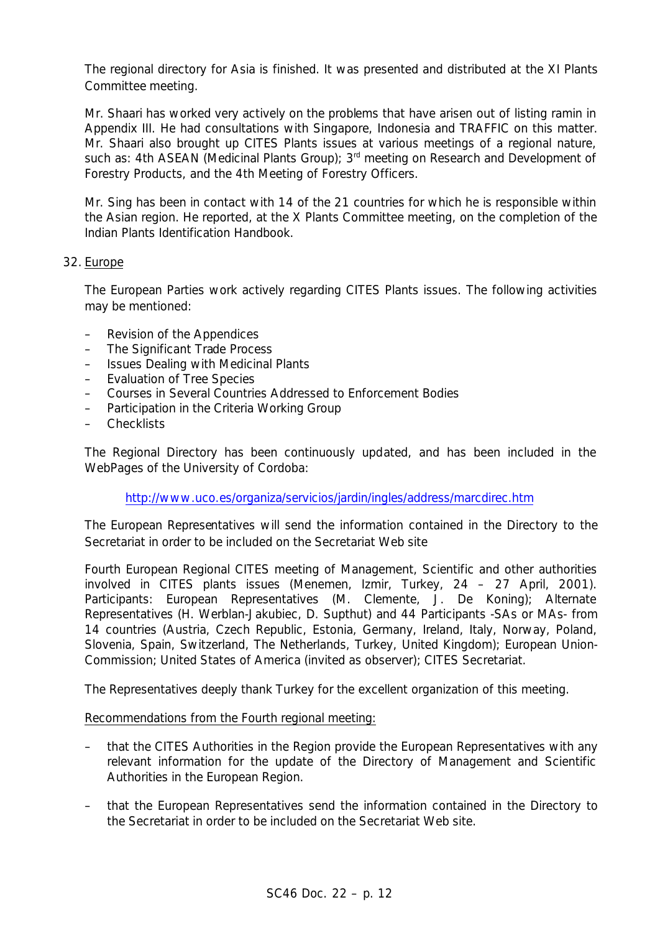The regional directory for Asia is finished. It was presented and distributed at the XI Plants Committee meeting.

Mr. Shaari has worked very actively on the problems that have arisen out of listing ramin in Appendix III. He had consultations with Singapore, Indonesia and TRAFFIC on this matter. Mr. Shaari also brought up CITES Plants issues at various meetings of a regional nature, such as: 4th ASEAN (Medicinal Plants Group); 3<sup>rd</sup> meeting on Research and Development of Forestry Products, and the 4th Meeting of Forestry Officers.

Mr. Sing has been in contact with 14 of the 21 countries for which he is responsible within the Asian region. He reported, at the X Plants Committee meeting, on the completion of the Indian Plants Identification Handbook.

# 32. Europe

The European Parties work actively regarding CITES Plants issues. The following activities may be mentioned:

- Revision of the Appendices
- The Significant Trade Process
- Issues Dealing with Medicinal Plants
- Evaluation of Tree Species
- Courses in Several Countries Addressed to Enforcement Bodies
- Participation in the Criteria Working Group
- Checklists

The Regional Directory has been continuously updated, and has been included in the WebPages of the University of Cordoba:

http://www.uco.es/organiza/servicios/jardin/ingles/address/marcdirec.htm

The European Representatives will send the information contained in the Directory to the Secretariat in order to be included on the Secretariat Web site

Fourth European Regional CITES meeting of Management, Scientific and other authorities involved in CITES plants issues (Menemen, Izmir, Turkey, 24 – 27 April, 2001). Participants: European Representatives (M. Clemente, J. De Koning); Alternate Representatives (H. Werblan-Jakubiec, D. Supthut) and 44 Participants -SAs or MAs- from 14 countries (Austria, Czech Republic, Estonia, Germany, Ireland, Italy, Norway, Poland, Slovenia, Spain, Switzerland, The Netherlands, Turkey, United Kingdom); European Union-Commission; United States of America (invited as observer); CITES Secretariat.

The Representatives deeply thank Turkey for the excellent organization of this meeting.

Recommendations from the Fourth regional meeting:

- that the CITES Authorities in the Region provide the European Representatives with any relevant information for the update of the Directory of Management and Scientific Authorities in the European Region.
- that the European Representatives send the information contained in the Directory to the Secretariat in order to be included on the Secretariat Web site.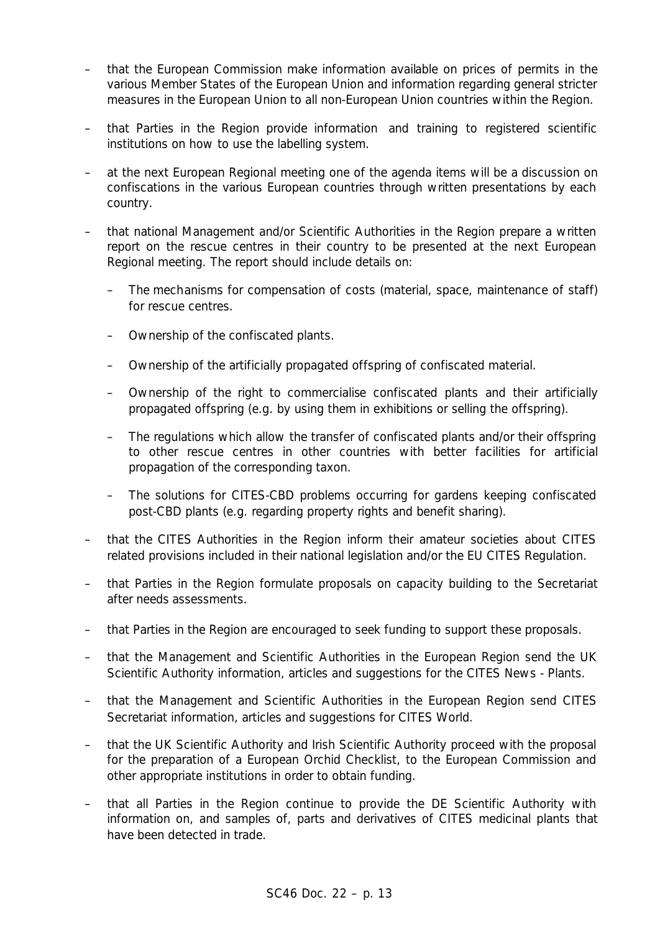- that the European Commission make information available on prices of permits in the various Member States of the European Union and information regarding general stricter measures in the European Union to all non-European Union countries within the Region.
- that Parties in the Region provide information and training to registered scientific institutions on how to use the labelling system.
- at the next European Regional meeting one of the agenda items will be a discussion on confiscations in the various European countries through written presentations by each country.
- that national Management and/or Scientific Authorities in the Region prepare a written report on the rescue centres in their country to be presented at the next European Regional meeting. The report should include details on:
	- The mechanisms for compensation of costs (material, space, maintenance of staff) for rescue centres.
	- Ownership of the confiscated plants.
	- Ownership of the artificially propagated offspring of confiscated material.
	- Ownership of the right to commercialise confiscated plants and their artificially propagated offspring (e.g. by using them in exhibitions or selling the offspring).
	- The regulations which allow the transfer of confiscated plants and/or their offspring to other rescue centres in other countries with better facilities for artificial propagation of the corresponding taxon.
	- The solutions for CITES-CBD problems occurring for gardens keeping confiscated post-CBD plants (e.g. regarding property rights and benefit sharing).
- that the CITES Authorities in the Region inform their amateur societies about CITES related provisions included in their national legislation and/or the EU CITES Regulation.
- that Parties in the Region formulate proposals on capacity building to the Secretariat after needs assessments.
- that Parties in the Region are encouraged to seek funding to support these proposals.
- that the Management and Scientific Authorities in the European Region send the UK Scientific Authority information, articles and suggestions for the CITES News - Plants.
- that the Management and Scientific Authorities in the European Region send CITES Secretariat information, articles and suggestions for CITES World.
- that the UK Scientific Authority and Irish Scientific Authority proceed with the proposal for the preparation of a European Orchid Checklist, to the European Commission and other appropriate institutions in order to obtain funding.
- that all Parties in the Region continue to provide the DE Scientific Authority with information on, and samples of, parts and derivatives of CITES medicinal plants that have been detected in trade.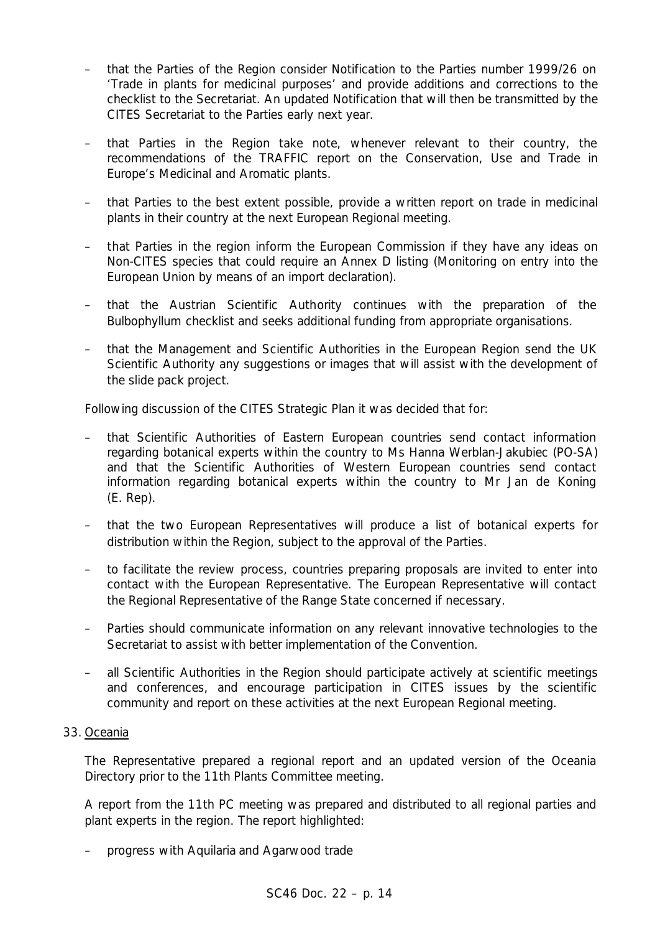- that the Parties of the Region consider Notification to the Parties number 1999/26 on 'Trade in plants for medicinal purposes' and provide additions and corrections to the checklist to the Secretariat. An updated Notification that will then be transmitted by the CITES Secretariat to the Parties early next year.
- that Parties in the Region take note, whenever relevant to their country, the recommendations of the TRAFFIC report on the Conservation, Use and Trade in Europe's Medicinal and Aromatic plants.
- that Parties to the best extent possible, provide a written report on trade in medicinal plants in their country at the next European Regional meeting.
- that Parties in the region inform the European Commission if they have any ideas on Non-CITES species that could require an Annex D listing (Monitoring on entry into the European Union by means of an import declaration).
- that the Austrian Scientific Authority continues with the preparation of the *Bulbophyllum* checklist and seeks additional funding from appropriate organisations.
- that the Management and Scientific Authorities in the European Region send the UK Scientific Authority any suggestions or images that will assist with the development of the slide pack project.

Following discussion of the CITES Strategic Plan it was decided that for:

- that Scientific Authorities of Eastern European countries send contact information regarding botanical experts within the country to Ms Hanna Werblan-Jakubiec (PO-SA) and that the Scientific Authorities of Western European countries send contact information regarding botanical experts within the country to Mr Jan de Koning (E. Rep).
- that the two European Representatives will produce a list of botanical experts for distribution within the Region, subject to the approval of the Parties.
- to facilitate the review process, countries preparing proposals are invited to enter into contact with the European Representative. The European Representative will contact the Regional Representative of the Range State concerned if necessary.
- Parties should communicate information on any relevant innovative technologies to the Secretariat to assist with better implementation of the Convention.
- all Scientific Authorities in the Region should participate actively at scientific meetings and conferences, and encourage participation in CITES issues by the scientific community and report on these activities at the next European Regional meeting.

# 33. Oceania

The Representative prepared a regional report and an updated version of the Oceania Directory prior to the 11th Plants Committee meeting.

A report from the 11th PC meeting was prepared and distributed to all regional parties and plant experts in the region. The report highlighted:

– progress with *Aquilaria* and Agarwood trade